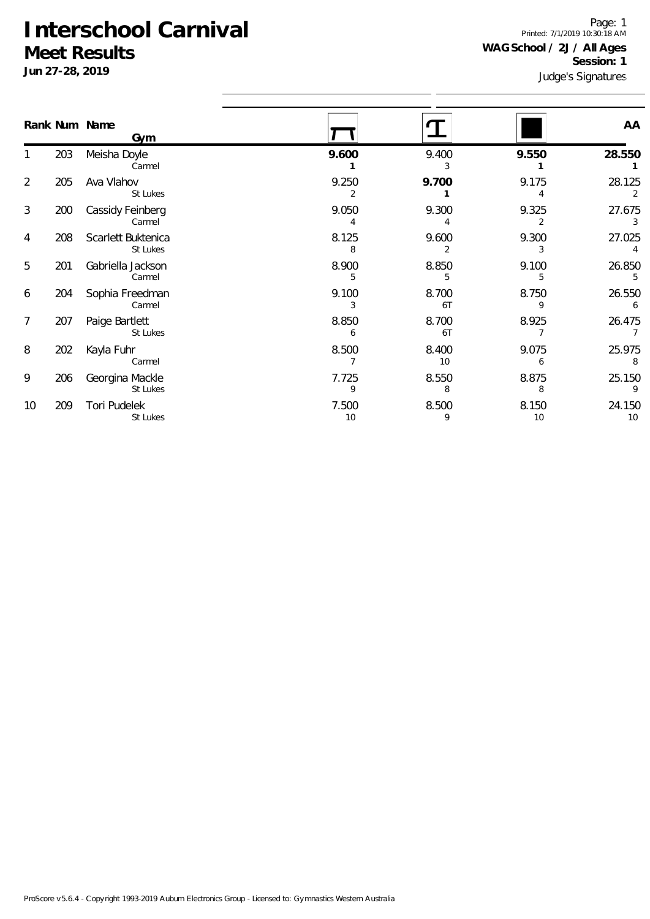**Jun 27-28, 2019**

Judge's Signatures Page: 1 Printed: 7/1/2019 10:30:18 AM **WAG School / 2J / All Ages Session: 1**

|                |     | Rank Num Name                  |             |                         |                         | AA           |
|----------------|-----|--------------------------------|-------------|-------------------------|-------------------------|--------------|
|                |     | Gym                            |             |                         |                         |              |
|                | 203 | Meisha Doyle<br>Carmel         | 9.600       | 9.400<br>3              | 9.550                   | 28.550       |
| $\overline{2}$ | 205 | Ava Vlahov<br>St Lukes         | 9.250<br>2  | 9.700                   | 9.175                   | 28.125<br>2  |
| 3              | 200 | Cassidy Feinberg<br>Carmel     | 9.050       | 9.300<br>4              | 9.325<br>$\overline{2}$ | 27.675<br>3  |
| 4              | 208 | Scarlett Buktenica<br>St Lukes | 8.125<br>8  | 9.600<br>$\overline{2}$ | 9.300<br>3              | 27.025       |
| 5              | 201 | Gabriella Jackson<br>Carmel    | 8.900       | 8.850<br>5              | 9.100<br>5              | 26.850<br>5  |
| 6              | 204 | Sophia Freedman<br>Carmel      | 9.100<br>3  | 8.700<br>6T             | 8.750<br>9              | 26.550<br>6  |
| $\overline{7}$ | 207 | Paige Bartlett<br>St Lukes     | 8.850<br>6  | 8.700<br>6T             | 8.925<br>$\overline{7}$ | 26.475       |
| 8              | 202 | Kayla Fuhr<br>Carmel           | 8.500       | 8.400<br>10             | 9.075<br>6              | 25.975<br>8  |
| 9              | 206 | Georgina Mackle<br>St Lukes    | 7.725       | 8.550<br>8              | 8.875<br>8              | 25.150<br>9  |
| 10             | 209 | Tori Pudelek<br>St Lukes       | 7.500<br>10 | 8.500<br>9              | 8.150<br>10             | 24.150<br>10 |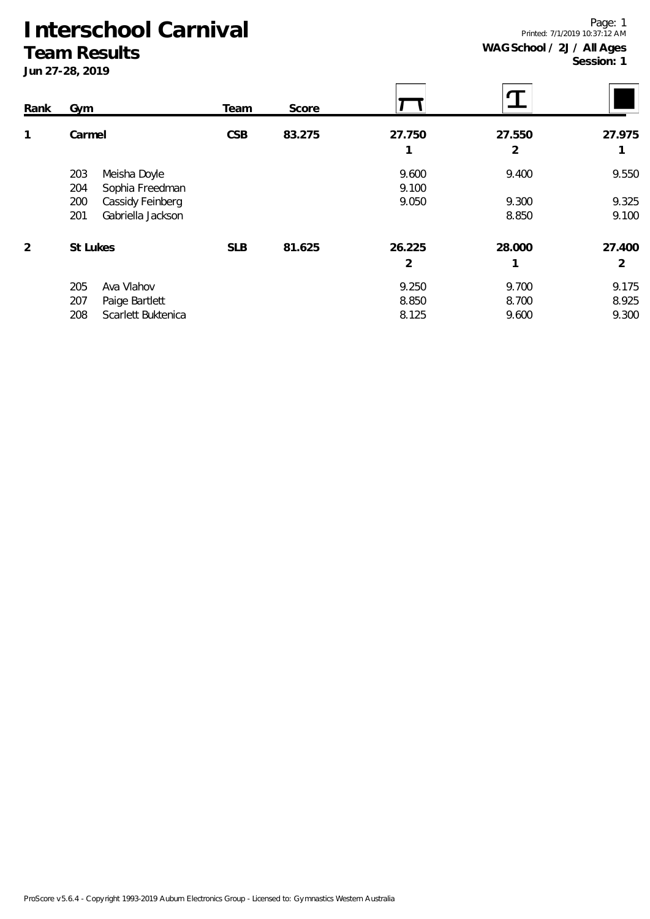**Team Results**

| Rank | Gym                       | Team       | Score  |        |        |        |
|------|---------------------------|------------|--------|--------|--------|--------|
| 1    | Carmel                    | <b>CSB</b> | 83.275 | 27.750 | 27.550 | 27.975 |
|      |                           |            |        | 1      | 2      |        |
|      | Meisha Doyle<br>203       |            |        | 9.600  | 9.400  | 9.550  |
|      | 204<br>Sophia Freedman    |            |        | 9.100  |        |        |
|      | 200<br>Cassidy Feinberg   |            |        | 9.050  | 9.300  | 9.325  |
|      | Gabriella Jackson<br>201  |            |        |        | 8.850  | 9.100  |
| 2    | St Lukes                  | <b>SLB</b> | 81.625 | 26.225 | 28.000 | 27.400 |
|      |                           |            |        | 2      |        | 2      |
|      | Ava Vlahov<br>205         |            |        | 9.250  | 9.700  | 9.175  |
|      | 207<br>Paige Bartlett     |            |        | 8.850  | 8.700  | 8.925  |
|      | Scarlett Buktenica<br>208 |            |        | 8.125  | 9.600  | 9.300  |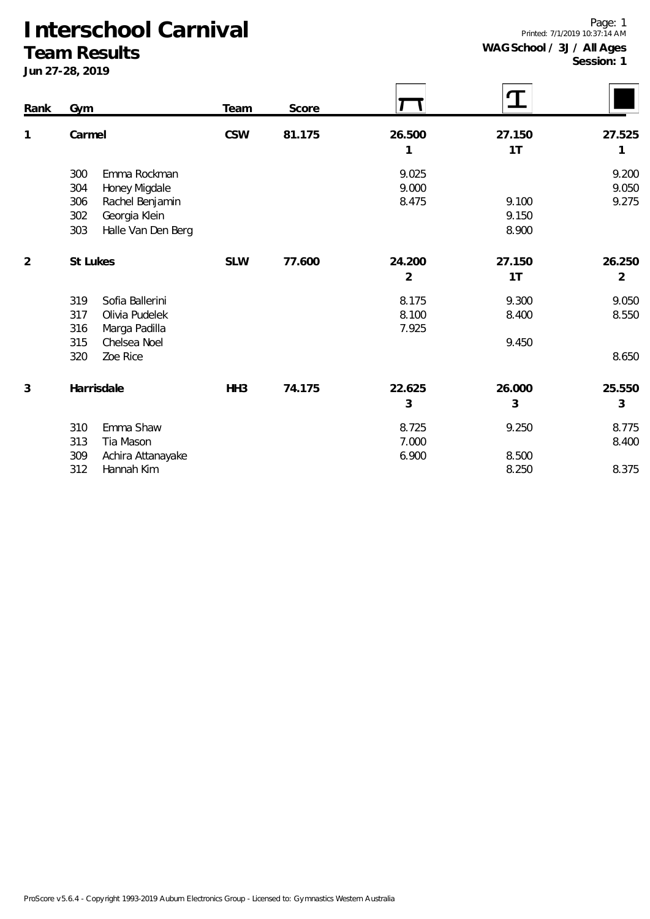#### **Team Results**

| Rank           | Gym                       | Team            | Score  |                | T      |                |
|----------------|---------------------------|-----------------|--------|----------------|--------|----------------|
| 1              | Carmel                    | <b>CSW</b>      | 81.175 | 26.500         | 27.150 | 27.525         |
|                |                           |                 |        | 1              | 1T     | 1              |
|                | 300<br>Emma Rockman       |                 |        | 9.025          |        | 9.200          |
|                | 304<br>Honey Migdale      |                 |        | 9.000          |        | 9.050          |
|                | 306<br>Rachel Benjamin    |                 |        | 8.475          | 9.100  | 9.275          |
|                | Georgia Klein<br>302      |                 |        |                | 9.150  |                |
|                | 303<br>Halle Van Den Berg |                 |        |                | 8.900  |                |
| $\overline{2}$ | St Lukes                  | <b>SLW</b>      | 77.600 | 24.200         | 27.150 | 26.250         |
|                |                           |                 |        | $\overline{2}$ | 1T     | $\overline{2}$ |
|                | Sofia Ballerini<br>319    |                 |        | 8.175          | 9.300  | 9.050          |
|                | Olivia Pudelek<br>317     |                 |        | 8.100          | 8.400  | 8.550          |
|                | 316<br>Marga Padilla      |                 |        | 7.925          |        |                |
|                | 315<br>Chelsea Noel       |                 |        |                | 9.450  |                |
|                | 320<br>Zoe Rice           |                 |        |                |        | 8.650          |
| 3              | Harrisdale                | HH <sub>3</sub> | 74.175 | 22.625         | 26.000 | 25.550         |
|                |                           |                 |        | 3              | 3      | 3              |
|                | Emma Shaw<br>310          |                 |        | 8.725          | 9.250  | 8.775          |
|                | 313<br>Tia Mason          |                 |        | 7.000          |        | 8.400          |
|                | 309<br>Achira Attanayake  |                 |        | 6.900          | 8.500  |                |
|                | 312<br>Hannah Kim         |                 |        |                | 8.250  | 8.375          |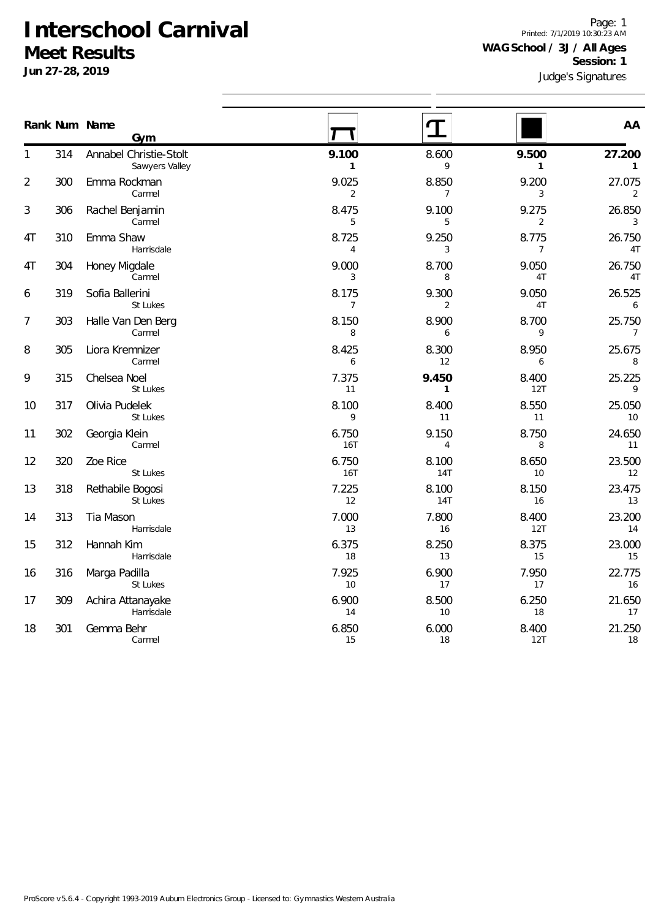**Jun 27-28, 2019**

Judge's Signatures Page: 1 Printed: 7/1/2019 10:30:23 AM **WAG School / 3J / All Ages Session: 1**

|                | Rank Num Name | Gym                                      |                         |                         |                         | AA                       |
|----------------|---------------|------------------------------------------|-------------------------|-------------------------|-------------------------|--------------------------|
| 1              | 314           | Annabel Christie-Stolt<br>Sawyers Valley | 9.100<br>$\mathbf{1}$   | 8.600<br>9              | 9.500<br>$\mathbf{1}$   | 27.200<br>$\mathbf{1}$   |
| $\overline{2}$ | 300           | Emma Rockman<br>Carmel                   | 9.025<br>$\overline{2}$ | 8.850<br>$\overline{7}$ | 9.200<br>3              | 27.075<br>2              |
| 3              | 306           | Rachel Benjamin<br>Carmel                | 8.475<br>5              | 9.100<br>5              | 9.275<br>$\overline{2}$ | 26.850<br>$\sqrt{3}$     |
| 4T             | 310           | Emma Shaw<br>Harrisdale                  | 8.725<br>$\overline{4}$ | 9.250<br>3              | 8.775<br>7              | 26.750<br>4T             |
| 4T             | 304           | Honey Migdale<br>Carmel                  | 9.000<br>3              | 8.700<br>8              | 9.050<br>4T             | 26.750<br>4T             |
| 6              | 319           | Sofia Ballerini<br>St Lukes              | 8.175<br>$\overline{7}$ | 9.300<br>$\overline{2}$ | 9.050<br>4T             | 26.525<br>6              |
| 7              | 303           | Halle Van Den Berg<br>Carmel             | 8.150<br>8              | 8.900<br>6              | 8.700<br>9              | 25.750<br>$\overline{7}$ |
| 8              | 305           | Liora Kremnizer<br>Carmel                | 8.425<br>6              | 8.300<br>12             | 8.950<br>6              | 25.675<br>8              |
| 9              | 315           | Chelsea Noel<br>St Lukes                 | 7.375<br>11             | 9.450<br>1              | 8.400<br>12T            | 25.225<br>9              |
| 10             | 317           | Olivia Pudelek<br>St Lukes               | 8.100<br>9              | 8.400<br>11             | 8.550<br>11             | 25.050<br>10             |
| 11             | 302           | Georgia Klein<br>Carmel                  | 6.750<br>16T            | 9.150<br>$\overline{4}$ | 8.750<br>8              | 24.650<br>11             |
| 12             | 320           | Zoe Rice<br>St Lukes                     | 6.750<br>16T            | 8.100<br><b>14T</b>     | 8.650<br>10             | 23.500<br>12             |
| 13             | 318           | Rethabile Bogosi<br>St Lukes             | 7.225<br>12             | 8.100<br><b>14T</b>     | 8.150<br>16             | 23.475<br>13             |
| 14             | 313           | Tia Mason<br>Harrisdale                  | 7.000<br>13             | 7.800<br>16             | 8.400<br>12T            | 23.200<br>14             |
| 15             | 312           | Hannah Kim<br>Harrisdale                 | 6.375<br>18             | 8.250<br>13             | 8.375<br>15             | 23.000<br>15             |
| 16             | 316           | Marga Padilla<br>St Lukes                | 7.925<br>10             | 6.900<br>17             | 7.950<br>17             | 22.775<br>16             |
| 17             | 309           | Achira Attanayake<br>Harrisdale          | 6.900<br>14             | 8.500<br>10             | 6.250<br>18             | 21.650<br>17             |
| 18             | 301           | Gemma Behr<br>Carmel                     | 6.850<br>15             | 6.000<br>18             | 8.400<br>12T            | 21.250<br>18             |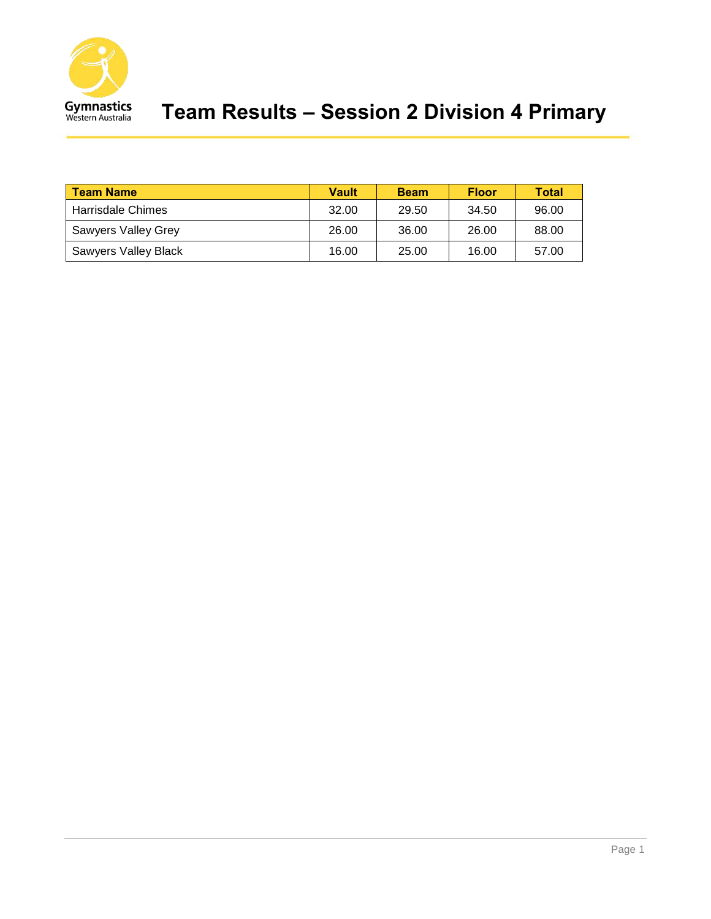

## **Team Results – Session 2 Division 4 Primary**

| <b>Team Name</b>           | Vault | <b>Beam</b> | <b>Floor</b> | <b>Total</b> |
|----------------------------|-------|-------------|--------------|--------------|
| Harrisdale Chimes          | 32.00 | 29.50       | 34.50        | 96.00        |
| <b>Sawyers Valley Grey</b> | 26.00 | 36.00       | 26.00        | 88.00        |
| Sawyers Valley Black       | 16.00 | 25.00       | 16.00        | 57.00        |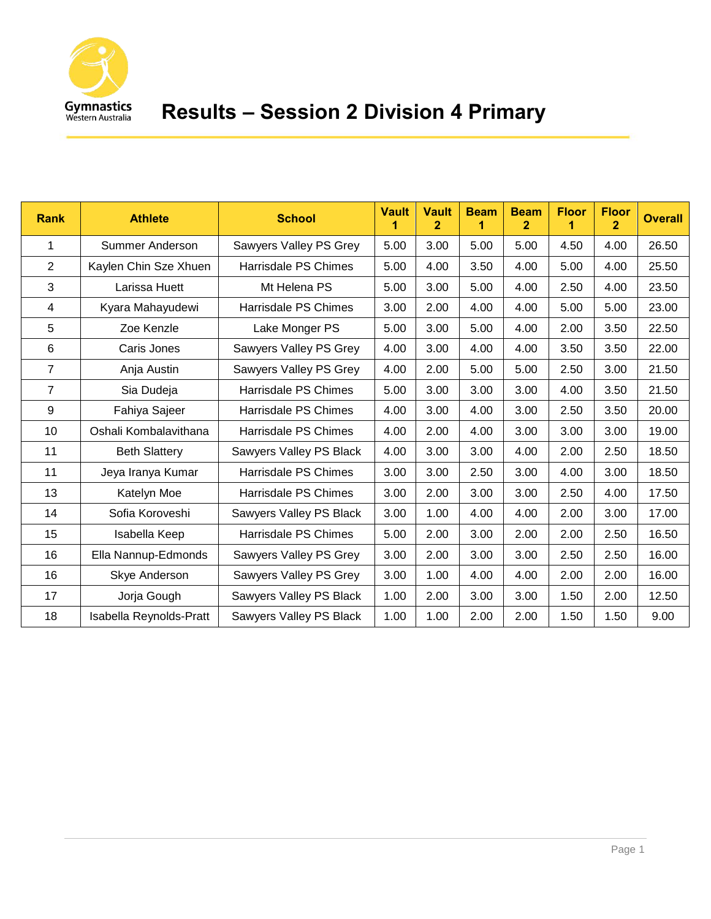

| <b>Rank</b>    | <b>Athlete</b>          | <b>School</b>           | <b>Vault</b><br>1 | <b>Vault</b><br>$\overline{2}$ | <b>Beam</b><br>1 | <b>Beam</b><br>2 | <b>Floor</b><br>1 | <b>Floor</b><br>$\overline{2}$ | <b>Overall</b> |
|----------------|-------------------------|-------------------------|-------------------|--------------------------------|------------------|------------------|-------------------|--------------------------------|----------------|
| 1              | Summer Anderson         | Sawyers Valley PS Grey  | 5.00              | 3.00                           | 5.00             | 5.00             | 4.50              | 4.00                           | 26.50          |
| $\overline{2}$ | Kaylen Chin Sze Xhuen   | Harrisdale PS Chimes    | 5.00              | 4.00                           | 3.50             | 4.00             | 5.00              | 4.00                           | 25.50          |
| 3              | Larissa Huett           | Mt Helena PS            | 5.00              | 3.00                           | 5.00             | 4.00             | 2.50              | 4.00                           | 23.50          |
| 4              | Kyara Mahayudewi        | Harrisdale PS Chimes    | 3.00              | 2.00                           | 4.00             | 4.00             | 5.00              | 5.00                           | 23.00          |
| 5              | Zoe Kenzle              | Lake Monger PS          | 5.00              | 3.00                           | 5.00             | 4.00             | 2.00              | 3.50                           | 22.50          |
| 6              | Caris Jones             | Sawyers Valley PS Grey  | 4.00              | 3.00                           | 4.00             | 4.00             | 3.50              | 3.50                           | 22.00          |
| 7              | Anja Austin             | Sawyers Valley PS Grey  | 4.00              | 2.00                           | 5.00             | 5.00             | 2.50              | 3.00                           | 21.50          |
| $\overline{7}$ | Sia Dudeja              | Harrisdale PS Chimes    | 5.00              | 3.00                           | 3.00             | 3.00             | 4.00              | 3.50                           | 21.50          |
| 9              | Fahiya Sajeer           | Harrisdale PS Chimes    | 4.00              | 3.00                           | 4.00             | 3.00             | 2.50              | 3.50                           | 20.00          |
| 10             | Oshali Kombalavithana   | Harrisdale PS Chimes    | 4.00              | 2.00                           | 4.00             | 3.00             | 3.00              | 3.00                           | 19.00          |
| 11             | <b>Beth Slattery</b>    | Sawyers Valley PS Black | 4.00              | 3.00                           | 3.00             | 4.00             | 2.00              | 2.50                           | 18.50          |
| 11             | Jeya Iranya Kumar       | Harrisdale PS Chimes    | 3.00              | 3.00                           | 2.50             | 3.00             | 4.00              | 3.00                           | 18.50          |
| 13             | Katelyn Moe             | Harrisdale PS Chimes    | 3.00              | 2.00                           | 3.00             | 3.00             | 2.50              | 4.00                           | 17.50          |
| 14             | Sofia Koroveshi         | Sawyers Valley PS Black | 3.00              | 1.00                           | 4.00             | 4.00             | 2.00              | 3.00                           | 17.00          |
| 15             | Isabella Keep           | Harrisdale PS Chimes    | 5.00              | 2.00                           | 3.00             | 2.00             | 2.00              | 2.50                           | 16.50          |
| 16             | Ella Nannup-Edmonds     | Sawyers Valley PS Grey  | 3.00              | 2.00                           | 3.00             | 3.00             | 2.50              | 2.50                           | 16.00          |
| 16             | Skye Anderson           | Sawyers Valley PS Grey  | 3.00              | 1.00                           | 4.00             | 4.00             | 2.00              | 2.00                           | 16.00          |
| 17             | Jorja Gough             | Sawyers Valley PS Black | 1.00              | 2.00                           | 3.00             | 3.00             | 1.50              | 2.00                           | 12.50          |
| 18             | Isabella Reynolds-Pratt | Sawyers Valley PS Black | 1.00              | 1.00                           | 2.00             | 2.00             | 1.50              | 1.50                           | 9.00           |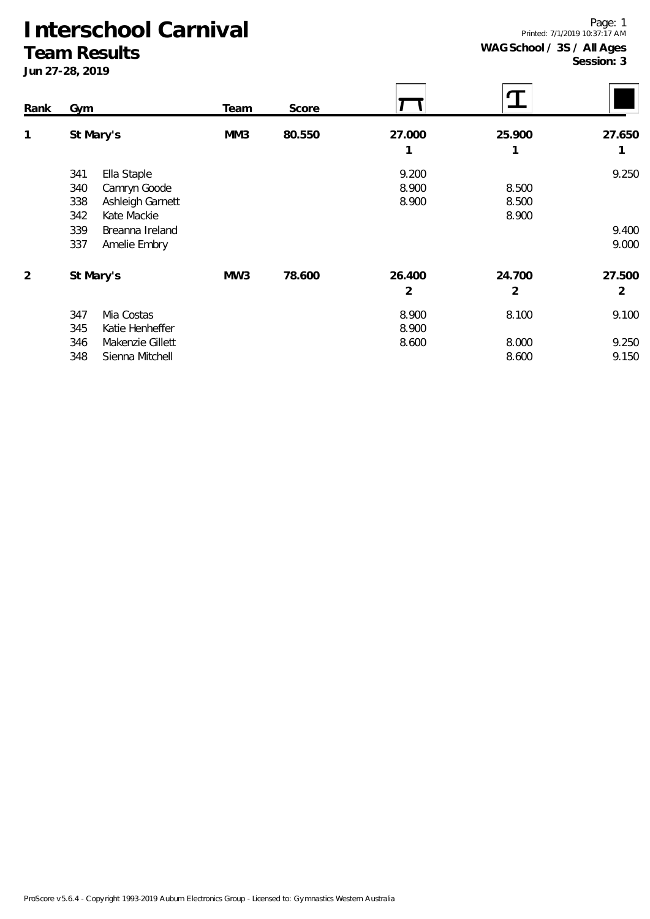#### **Team Results**

| Rank           | Gym                     | Team | Score  |                |        |                |
|----------------|-------------------------|------|--------|----------------|--------|----------------|
| 1              | St Mary's               | MM3  | 80.550 | 27.000         | 25.900 | 27.650         |
|                |                         |      |        | 1              | 1      | 1              |
|                | Ella Staple<br>341      |      |        | 9.200          |        | 9.250          |
|                | 340<br>Camryn Goode     |      |        | 8.900          | 8.500  |                |
|                | Ashleigh Garnett<br>338 |      |        | 8.900          | 8.500  |                |
|                | Kate Mackie<br>342      |      |        |                | 8.900  |                |
|                | 339<br>Breanna Ireland  |      |        |                |        | 9.400          |
|                | 337<br>Amelie Embry     |      |        |                |        | 9.000          |
| $\overline{2}$ | St Mary's               | MW3  | 78.600 | 26.400         | 24.700 | 27.500         |
|                |                         |      |        | $\overline{2}$ | 2      | $\overline{2}$ |
|                | Mia Costas<br>347       |      |        | 8.900          | 8.100  | 9.100          |
|                | 345<br>Katie Henheffer  |      |        | 8.900          |        |                |
|                | Makenzie Gillett<br>346 |      |        | 8.600          | 8.000  | 9.250          |
|                | 348<br>Sienna Mitchell  |      |        |                | 8.600  | 9.150          |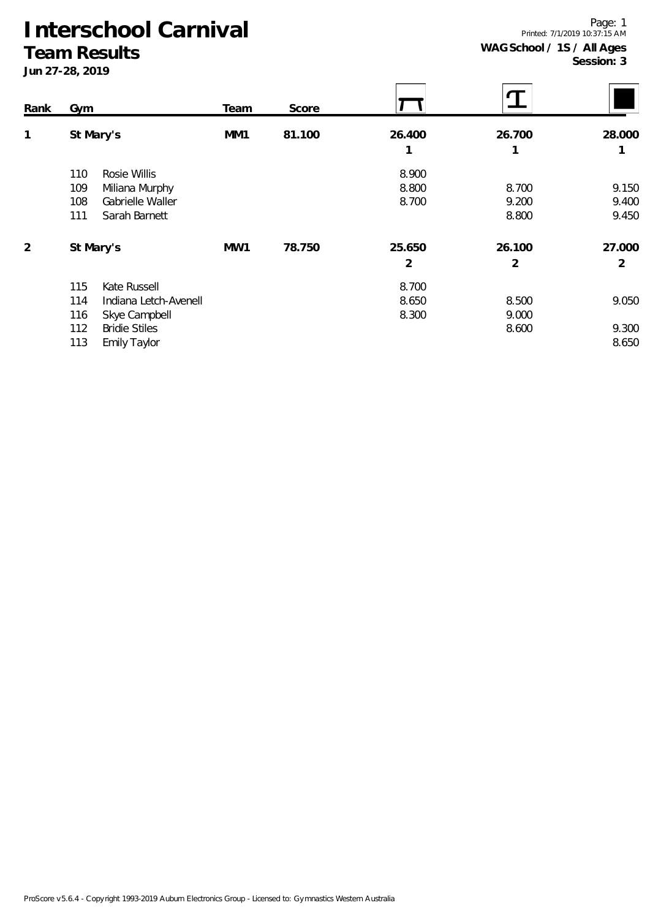#### **Team Results**

| Rank           | Gym                          | Team | Score  |        |        |                |
|----------------|------------------------------|------|--------|--------|--------|----------------|
| 1              | St Mary's                    | MM1  | 81.100 | 26.400 | 26.700 | 28.000         |
|                |                              |      |        | 1      | 1      | 1              |
|                | 110<br>Rosie Willis          |      |        | 8.900  |        |                |
|                | 109<br>Miliana Murphy        |      |        | 8.800  | 8.700  | 9.150          |
|                | Gabrielle Waller<br>108      |      |        | 8.700  | 9.200  | 9.400          |
|                | 111<br>Sarah Barnett         |      |        |        | 8.800  | 9.450          |
| $\overline{2}$ | St Mary's                    | MW1  | 78.750 | 25.650 | 26.100 | 27.000         |
|                |                              |      |        | 2      | 2      | $\overline{2}$ |
|                | 115<br>Kate Russell          |      |        | 8.700  |        |                |
|                | 114<br>Indiana Letch-Avenell |      |        | 8.650  | 8.500  | 9.050          |
|                | Skye Campbell<br>116         |      |        | 8.300  | 9.000  |                |
|                | 112<br><b>Bridie Stiles</b>  |      |        |        | 8.600  | 9.300          |
|                | 113<br>Emily Taylor          |      |        |        |        | 8.650          |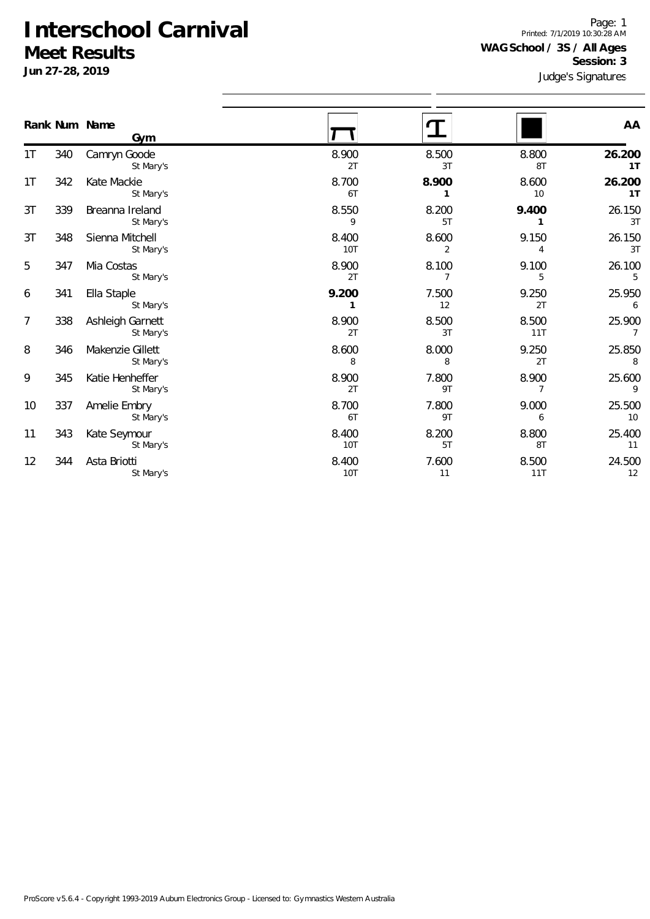**Jun 27-28, 2019**

Judge's Signatures Page: 1 Printed: 7/1/2019 10:30:28 AM **WAG School / 3S / All Ages Session: 3**

|                  |     | Rank Num Name<br>Gym          |                     |                         |              | AA                       |
|------------------|-----|-------------------------------|---------------------|-------------------------|--------------|--------------------------|
| 1T               | 340 | Camryn Goode<br>St Mary's     | 8.900<br>2T         | 8.500<br>3T             | 8.800<br>8T  | 26.200<br>1T             |
| 1T               | 342 | Kate Mackie<br>St Mary's      | 8.700<br>6T         | 8.900<br>1              | 8.600<br>10  | 26.200<br>1T             |
| 3T               | 339 | Breanna Ireland<br>St Mary's  | 8.550<br>9          | 8.200<br>5T             | 9.400<br>1   | 26.150<br>3T             |
| 3T               | 348 | Sienna Mitchell<br>St Mary's  | 8.400<br>10T        | 8.600<br>$\overline{2}$ | 9.150<br>4   | 26.150<br>3T             |
| 5                | 347 | Mia Costas<br>St Mary's       | 8.900<br>2T         | 8.100<br>$\overline{7}$ | 9.100<br>5   | 26.100<br>5              |
| 6                | 341 | Ella Staple<br>St Mary's      | 9.200<br>1          | 7.500<br>12             | 9.250<br>2T  | 25.950<br>6              |
| $\boldsymbol{7}$ | 338 | Ashleigh Garnett<br>St Mary's | 8.900<br>2T         | 8.500<br>3T             | 8.500<br>11T | 25.900<br>$\overline{7}$ |
| 8                | 346 | Makenzie Gillett<br>St Mary's | 8.600<br>8          | 8.000<br>8              | 9.250<br>2T  | 25.850<br>8              |
| 9                | 345 | Katie Henheffer<br>St Mary's  | 8.900<br>2T         | 7.800<br>9T             | 8.900<br>7   | 25.600<br>9              |
| 10               | 337 | Amelie Embry<br>St Mary's     | 8.700<br>6T         | 7.800<br>9T             | 9.000<br>6   | 25.500<br>10             |
| 11               | 343 | Kate Seymour<br>St Mary's     | 8.400<br>10T        | 8.200<br>5T             | 8.800<br>8T  | 25.400<br>11             |
| 12               | 344 | Asta Briotti<br>St Mary's     | 8.400<br><b>10T</b> | 7.600<br>11             | 8.500<br>11T | 24.500<br>12             |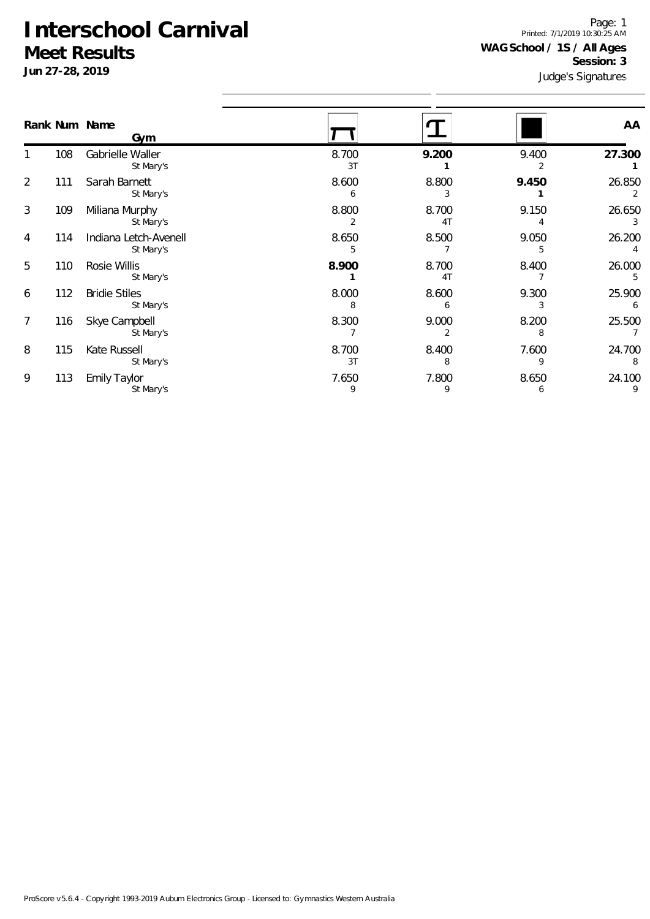**Jun 27-28, 2019**

Judge's Signatures Page: 1 Printed: 7/1/2019 10:30:25 AM **WAG School / 1S / All Ages Session: 3**

|   |     | Rank Num Name<br>Gym               |             |                         |            | AA          |
|---|-----|------------------------------------|-------------|-------------------------|------------|-------------|
|   | 108 | Gabrielle Waller<br>St Mary's      | 8.700<br>3T | 9.200                   | 9.400      | 27.300      |
| 2 | 111 | Sarah Barnett<br>St Mary's         | 8.600<br>6  | 8.800<br>3              | 9.450      | 26.850<br>2 |
| 3 | 109 | Miliana Murphy<br>St Mary's        | 8.800<br>2  | 8.700<br>4T             | 9.150      | 26.650<br>3 |
| 4 | 114 | Indiana Letch-Avenell<br>St Mary's | 8.650<br>5  | 8.500                   | 9.050<br>5 | 26.200      |
| 5 | 110 | Rosie Willis<br>St Mary's          | 8.900       | 8.700<br>4 <sub>T</sub> | 8.400      | 26.000<br>5 |
| 6 | 112 | <b>Bridie Stiles</b><br>St Mary's  | 8.000<br>8  | 8.600<br>6              | 9.300<br>3 | 25.900<br>6 |
| 7 | 116 | Skye Campbell<br>St Mary's         | 8.300       | 9.000<br>2              | 8.200<br>8 | 25.500      |
| 8 | 115 | Kate Russell<br>St Mary's          | 8.700<br>3T | 8.400<br>8              | 7.600<br>9 | 24.700<br>8 |
| 9 | 113 | <b>Emily Taylor</b><br>St Mary's   | 7.650<br>9  | 7.800<br>9              | 8.650<br>6 | 24.100<br>9 |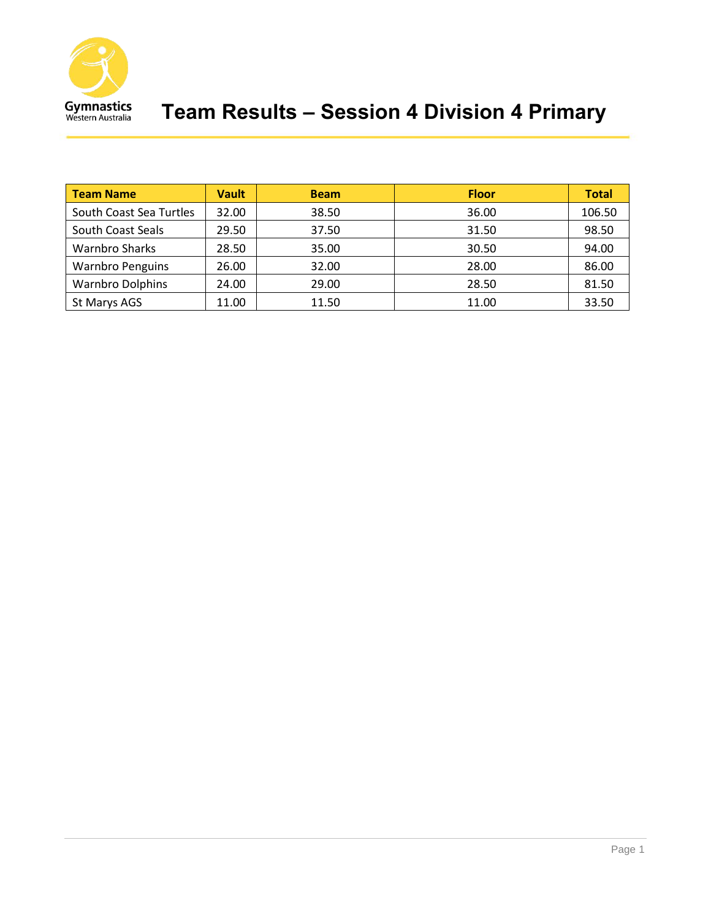

| <b>Team Name</b>        | <b>Vault</b> | <b>Beam</b> | <b>Floor</b> | <b>Total</b> |
|-------------------------|--------------|-------------|--------------|--------------|
| South Coast Sea Turtles | 32.00        | 38.50       | 36.00        | 106.50       |
| South Coast Seals       | 29.50        | 37.50       | 31.50        | 98.50        |
| <b>Warnbro Sharks</b>   | 28.50        | 35.00       | 30.50        | 94.00        |
| <b>Warnbro Penguins</b> | 26.00        | 32.00       | 28.00        | 86.00        |
| <b>Warnbro Dolphins</b> | 24.00        | 29.00       | 28.50        | 81.50        |
| St Marys AGS            | 11.00        | 11.50       | 11.00        | 33.50        |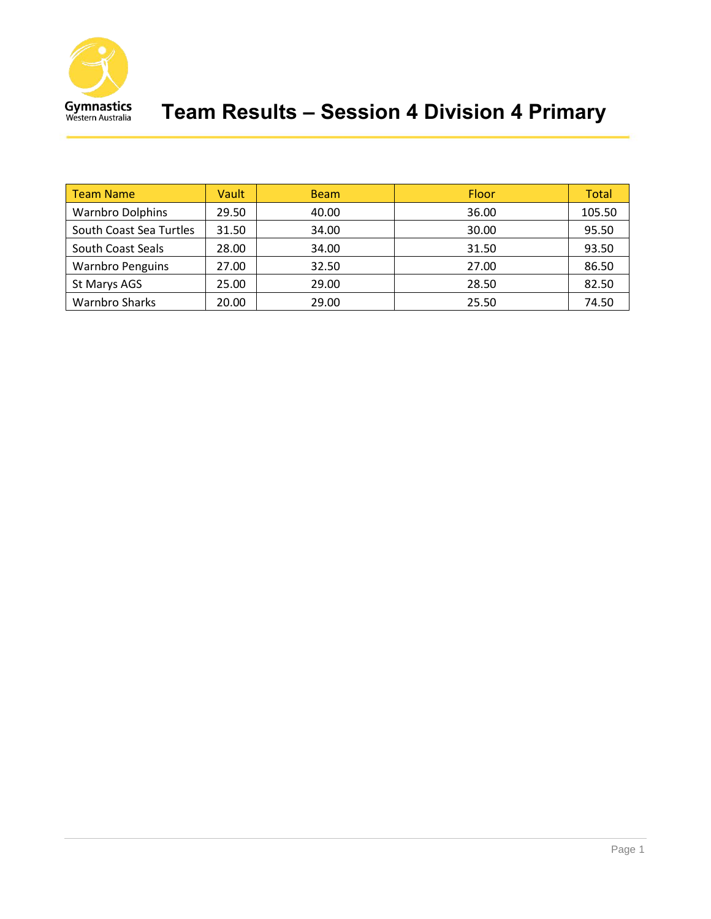

| <b>Team Name</b>        | Vault | <b>Beam</b> | Floor | Total  |
|-------------------------|-------|-------------|-------|--------|
| <b>Warnbro Dolphins</b> | 29.50 | 40.00       | 36.00 | 105.50 |
| South Coast Sea Turtles | 31.50 | 34.00       | 30.00 | 95.50  |
| South Coast Seals       | 28.00 | 34.00       | 31.50 | 93.50  |
| <b>Warnbro Penguins</b> | 27.00 | 32.50       | 27.00 | 86.50  |
| St Marys AGS            | 25.00 | 29.00       | 28.50 | 82.50  |
| <b>Warnbro Sharks</b>   | 20.00 | 29.00       | 25.50 | 74.50  |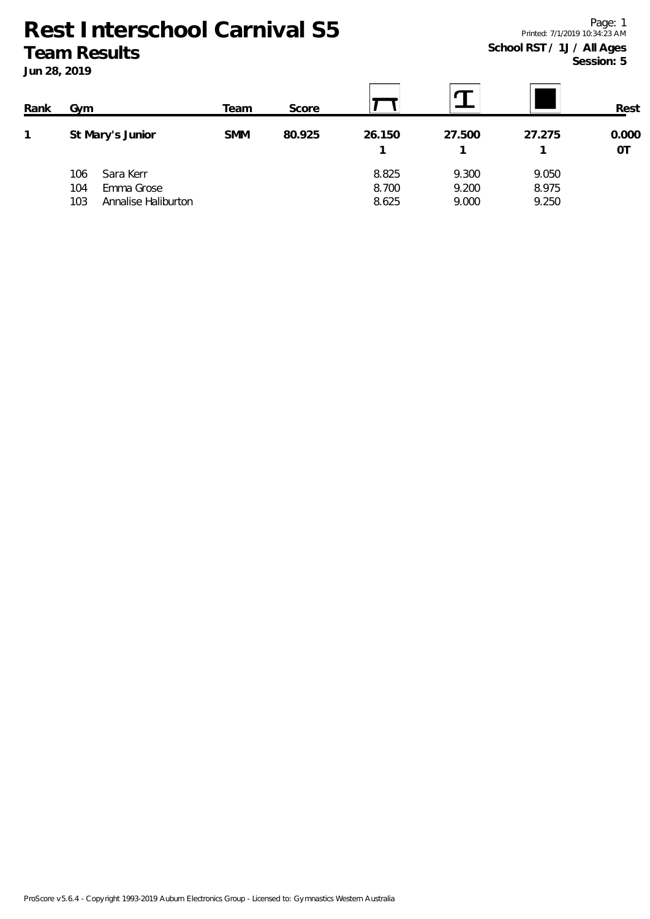**Jun 28, 2019**

| Rank | Gvm                                                                 | Team       | Score  |                         |                         |                         | Rest        |
|------|---------------------------------------------------------------------|------------|--------|-------------------------|-------------------------|-------------------------|-------------|
|      | St Mary's Junior                                                    | <b>SMM</b> | 80.925 | 26.150                  | 27.500                  | 27.275                  | 0.000<br>0T |
|      | Sara Kerr<br>106<br>Emma Grose<br>104<br>Annalise Haliburton<br>103 |            |        | 8.825<br>8.700<br>8.625 | 9.300<br>9.200<br>9.000 | 9.050<br>8.975<br>9.250 |             |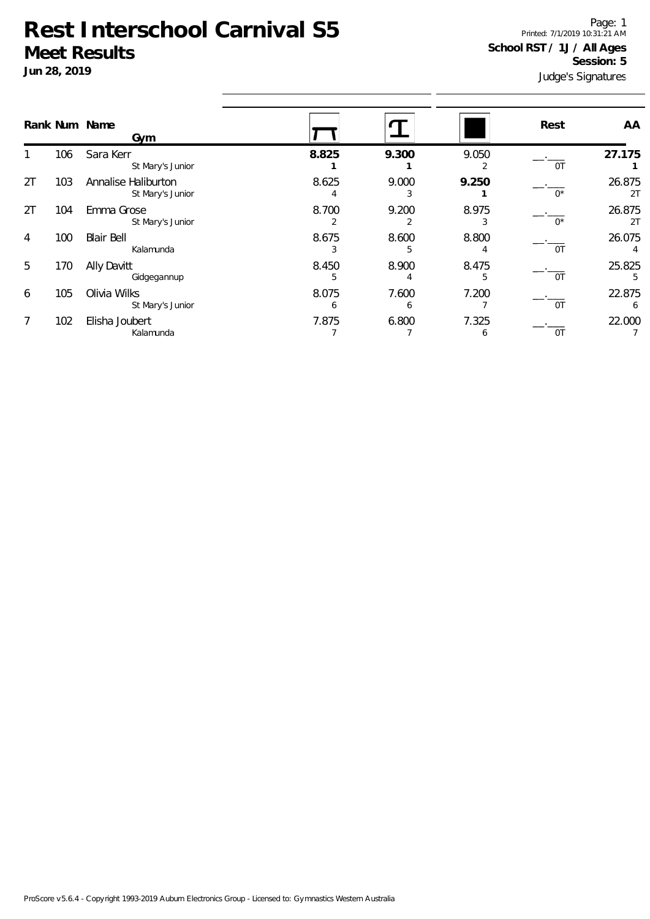**Jun 28, 2019**

Judge's Signatures Page: 1 Printed: 7/1/2019 10:31:21 AM **School RST / 1J / All Ages Session: 5**

|                | Rank Num Name |                                                             |            |            |            | Rest        | AA           |
|----------------|---------------|-------------------------------------------------------------|------------|------------|------------|-------------|--------------|
| 1              | 106           | Gym<br>Sara Kerr                                            | 8.825      | 9.300      | 9.050      |             | 27.175       |
| 2T             | 103           | St Mary's Junior<br>Annalise Haliburton<br>St Mary's Junior | 8.625      | 9.000<br>3 | 2<br>9.250 | 0T<br>$0^*$ | 26.875<br>2T |
| 2T             | 104           | Emma Grose<br>St Mary's Junior                              | 8.700<br>2 | 9.200<br>2 | 8.975<br>3 | $0^*$       | 26.875<br>2T |
| $\overline{4}$ | 100           | <b>Blair Bell</b><br>Kalamunda                              | 8.675      | 8.600<br>5 | 8.800<br>4 | 0T          | 26.075       |
| 5              | 170           | Ally Davitt<br>Gidgegannup                                  | 8.450<br>5 | 8.900      | 8.475<br>5 | 0T          | 25.825<br>5  |
| 6              | 105           | Olivia Wilks<br>St Mary's Junior                            | 8.075<br>6 | 7.600<br>6 | 7.200      | 0T          | 22.875<br>6  |
| 7              | 102           | Elisha Joubert<br>Kalamunda                                 | 7.875      | 6.800      | 7.325<br>6 | 0T          | 22.000       |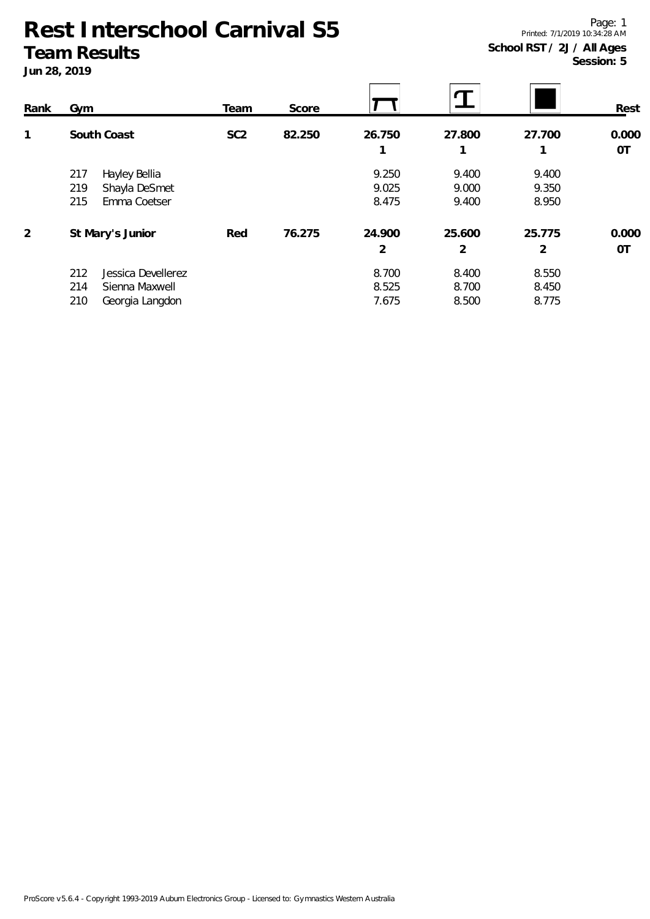#### **Jun 28, 2019**

Page: 1 Printed: 7/1/2019 10:34:28 AM **School RST / 2J / All Ages Session: 5**

| Rank | Gym                                                                          | Team            | Score  |                         |                         |                         | Rest               |
|------|------------------------------------------------------------------------------|-----------------|--------|-------------------------|-------------------------|-------------------------|--------------------|
| 1    | South Coast                                                                  | SC <sub>2</sub> | 82.250 | 26.750                  | 27.800<br>1             | 27.700                  | 0.000<br><b>OT</b> |
|      | 217<br>Hayley Bellia<br>219<br>Shayla DeSmet<br>215<br>Emma Coetser          |                 |        | 9.250<br>9.025<br>8.475 | 9.400<br>9.000<br>9.400 | 9.400<br>9.350<br>8.950 |                    |
| 2    | St Mary's Junior                                                             | Red             | 76.275 | 24.900<br>2             | 25.600<br>2             | 25.775<br>2             | 0.000<br>0T        |
|      | 212<br>Jessica Devellerez<br>214<br>Sienna Maxwell<br>210<br>Georgia Langdon |                 |        | 8.700<br>8.525<br>7.675 | 8.400<br>8.700<br>8.500 | 8.550<br>8.450<br>8.775 |                    |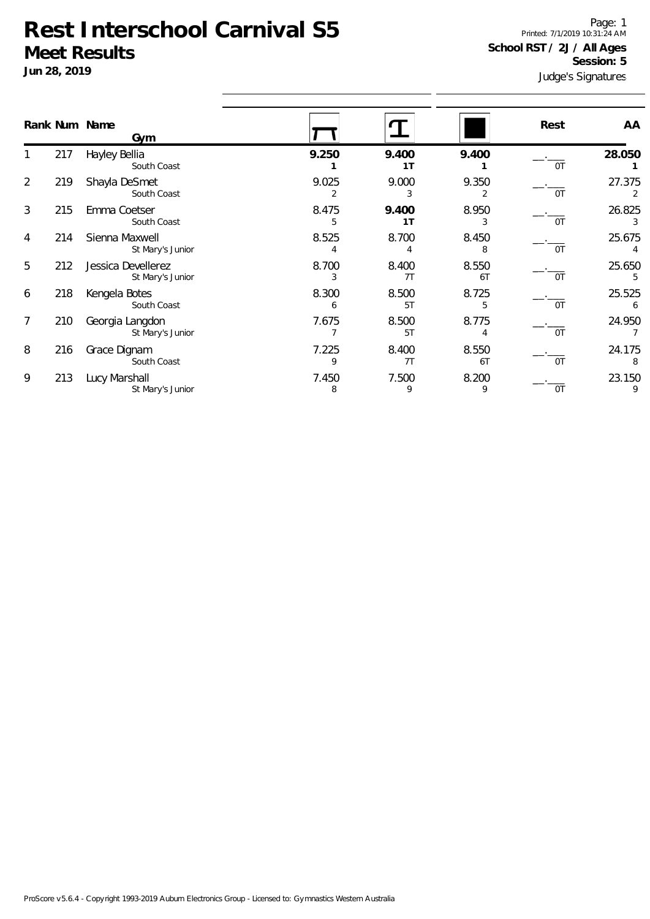**Jun 28, 2019**

Judge's Signatures Page: 1 Printed: 7/1/2019 10:31:24 AM **School RST / 2J / All Ages Session: 5**

|   |     | Rank Num Name<br>Gym                   |            |                         |             | Rest | AA          |
|---|-----|----------------------------------------|------------|-------------------------|-------------|------|-------------|
|   | 217 | Hayley Bellia<br>South Coast           | 9.250      | 9.400<br>1T             | 9.400       | 0T   | 28.050      |
| 2 | 219 | Shayla DeSmet<br>South Coast           | 9.025<br>2 | 9.000<br>3              | 9.350       | 0T   | 27.375      |
| 3 | 215 | Emma Coetser<br>South Coast            | 8.475<br>5 | 9.400<br>1 <sub>T</sub> | 8.950<br>3  | 0T   | 26.825<br>3 |
| 4 | 214 | Sienna Maxwell<br>St Mary's Junior     | 8.525      | 8.700                   | 8.450<br>8  | 0T   | 25.675      |
| 5 | 212 | Jessica Devellerez<br>St Mary's Junior | 8.700<br>3 | 8.400<br>7T             | 8.550<br>6T | 0T   | 25.650<br>5 |
| 6 | 218 | Kengela Botes<br>South Coast           | 8.300<br>6 | 8.500<br>5T             | 8.725<br>5  | 0T   | 25.525<br>6 |
| 7 | 210 | Georgia Langdon<br>St Mary's Junior    | 7.675      | 8.500<br>5T             | 8.775       | 0T   | 24.950      |
| 8 | 216 | Grace Dignam<br>South Coast            | 7.225<br>9 | 8.400<br>7T             | 8.550<br>6T | 0T   | 24.175<br>8 |
| 9 | 213 | Lucy Marshall<br>St Mary's Junior      | 7.450<br>8 | 7.500<br>9              | 8.200<br>9  | 0T   | 23.150<br>9 |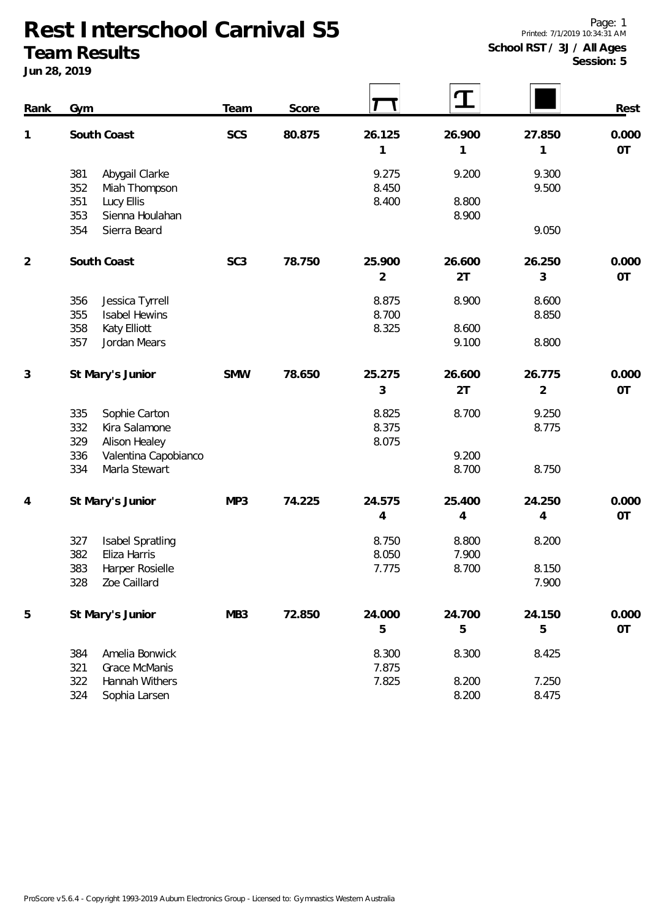**Jun 28, 2019**

| Rank | Gym                                                                                          | Team            | Score  |                          |                         |                          | Rest               |
|------|----------------------------------------------------------------------------------------------|-----------------|--------|--------------------------|-------------------------|--------------------------|--------------------|
| 1    | South Coast                                                                                  | SCS             | 80.875 | 26.125<br>1              | 26.900                  | 27.850<br>1              | 0.000<br><b>OT</b> |
|      | 381<br>Abygail Clarke<br>352<br>Miah Thompson<br>351<br>Lucy Ellis<br>353<br>Sienna Houlahan |                 |        | 9.275<br>8.450<br>8.400  | 9.200<br>8.800<br>8.900 | 9.300<br>9.500           |                    |
|      | 354<br>Sierra Beard                                                                          |                 |        |                          |                         | 9.050                    |                    |
| 2    | South Coast                                                                                  | SC <sub>3</sub> | 78.750 | 25.900<br>$\overline{2}$ | 26.600<br>2T            | 26.250<br>3              | 0.000<br>OT        |
|      | 356<br>Jessica Tyrrell<br>355<br><b>Isabel Hewins</b><br>358<br>Katy Elliott                 |                 |        | 8.875<br>8.700<br>8.325  | 8.900<br>8.600          | 8.600<br>8.850           |                    |
|      | 357<br>Jordan Mears                                                                          |                 |        |                          | 9.100                   | 8.800                    |                    |
| 3    | St Mary's Junior                                                                             | <b>SMW</b>      | 78.650 | 25.275<br>3              | 26.600<br>2T            | 26.775<br>$\overline{2}$ | 0.000<br>OT        |
|      | 335<br>Sophie Carton<br>Kira Salamone<br>332<br>329<br>Alison Healey                         |                 |        | 8.825<br>8.375<br>8.075  | 8.700                   | 9.250<br>8.775           |                    |
|      | Valentina Capobianco<br>336<br>334<br>Marla Stewart                                          |                 |        |                          | 9.200<br>8.700          | 8.750                    |                    |
| 4    | St Mary's Junior                                                                             | MP3             | 74.225 | 24.575<br>$\overline{4}$ | 25.400<br>4             | 24.250<br>4              | 0.000<br>OT        |
|      | Isabel Spratling<br>327<br>382<br>Eliza Harris                                               |                 |        | 8.750<br>8.050           | 8.800<br>7.900          | 8.200                    |                    |
|      | 383 Harper Rosielle<br>328<br>Zoe Caillard                                                   |                 |        | 7.775                    | 8.700                   | 8.150<br>7.900           |                    |
| 5    | St Mary's Junior                                                                             | MB <sub>3</sub> | 72.850 | 24.000<br>5              | 24.700<br>5             | 24.150<br>5              | 0.000<br><b>OT</b> |
|      | 384<br>Amelia Bonwick<br>321<br><b>Grace McManis</b>                                         |                 |        | 8.300<br>7.875           | 8.300                   | 8.425                    |                    |
|      | 322<br>Hannah Withers<br>324<br>Sophia Larsen                                                |                 |        | 7.825                    | 8.200<br>8.200          | 7.250<br>8.475           |                    |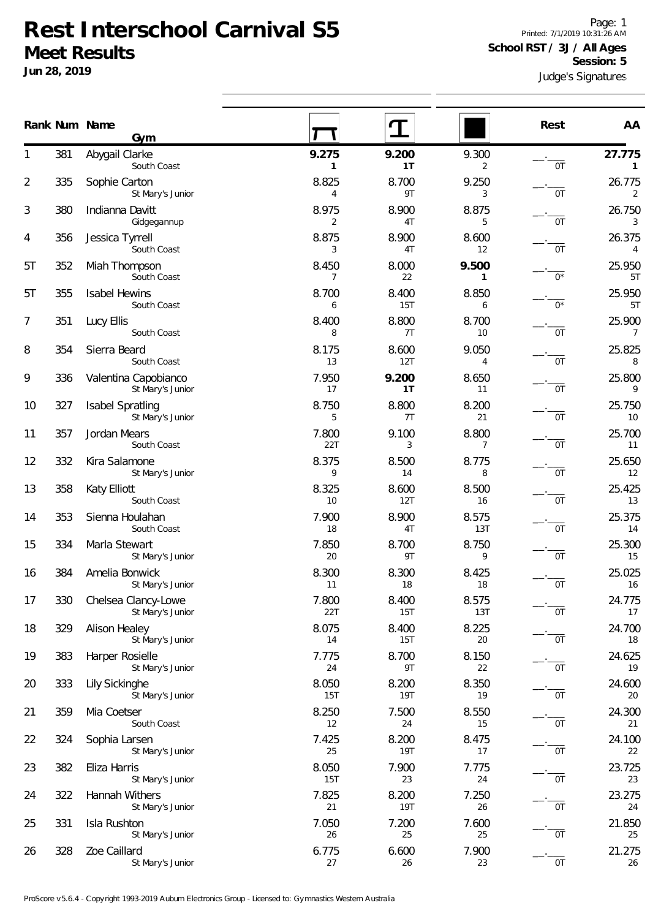**Jun 28, 2019**

Judge's Signatures Page: 1 Printed: 7/1/2019 10:31:26 AM **School RST / 3J / All Ages Session: 5**

|                |     | Rank Num Name<br>Gym                        |                         |                     |                       | Rest  | AA                       |
|----------------|-----|---------------------------------------------|-------------------------|---------------------|-----------------------|-------|--------------------------|
| 1              | 381 | Abygail Clarke<br>South Coast               | 9.275<br>1              | 9.200<br>1T         | 9.300<br>2            | 0T    | 27.775<br>$\mathbf{1}$   |
| $\overline{2}$ | 335 | Sophie Carton<br>St Mary's Junior           | 8.825<br>$\overline{4}$ | 8.700<br>9T         | 9.250<br>3            | 0T    | 26.775<br>$\overline{2}$ |
| 3              | 380 | Indianna Davitt                             | 8.975<br>2              | 8.900<br>4T         | 8.875<br>5            | 0T    | 26.750<br>3              |
| 4              | 356 | Gidgegannup<br>Jessica Tyrrell              | 8.875                   | 8.900               | 8.600                 |       | 26.375                   |
| 5T             | 352 | South Coast<br>Miah Thompson                | 3<br>8.450              | 4T<br>8.000         | 12<br>9.500           | 0T    | $\overline{4}$<br>25.950 |
| 5T             | 355 | South Coast<br><b>Isabel Hewins</b>         | $\overline{7}$<br>8.700 | 22<br>8.400         | $\mathbf{1}$<br>8.850 | $0^*$ | 57<br>25.950             |
| 7              | 351 | South Coast<br>Lucy Ellis                   | 6<br>8.400              | <b>15T</b><br>8.800 | 6<br>8.700            | $0^*$ | 57<br>25.900             |
| 8              | 354 | South Coast<br>Sierra Beard                 | 8<br>8.175              | 7T<br>8.600         | 10<br>9.050           | 0T    | $\overline{7}$<br>25.825 |
| 9              | 336 | South Coast<br>Valentina Capobianco         | 13<br>7.950             | 12T<br>9.200        | 4<br>8.650            | 0T    | $\, 8$<br>25.800         |
| 10             | 327 | St Mary's Junior<br><b>Isabel Spratling</b> | 17<br>8.750             | 1T<br>8.800         | 11<br>8.200           | 0T    | 9<br>25.750              |
|                |     | St Mary's Junior                            | 5                       | 7T                  | 21                    | 0T    | 10                       |
| 11             | 357 | Jordan Mears<br>South Coast                 | 7.800<br>22T            | 9.100<br>3          | 8.800<br>7            | 0T    | 25.700<br>11             |
| 12             | 332 | Kira Salamone<br>St Mary's Junior           | 8.375<br>9              | 8.500<br>14         | 8.775<br>8            | 0T    | 25.650<br>12             |
| 13             | 358 | Katy Elliott<br>South Coast                 | 8.325<br>10             | 8.600<br>12T        | 8.500<br>16           | 0T    | 25.425<br>13             |
| 14             | 353 | Sienna Houlahan<br>South Coast              | 7.900<br>18             | 8.900<br>4T         | 8.575<br>13T          | 0T    | 25.375<br>14             |
| 15             | 334 | Marla Stewart<br>St Mary's Junior           | 7.850<br>20             | 8.700<br>9T         | 8.750<br>9            | 0T    | 25.300<br>15             |
| 16             | 384 | Amelia Bonwick<br>St Mary's Junior          | 8.300<br>11             | 8.300<br>18         | 8.425<br>18           | 0T    | 25.025<br>16             |
| 17             | 330 | Chelsea Clancy-Lowe<br>St Mary's Junior     | 7.800<br>22T            | 8.400<br>15T        | 8.575<br>13T          | 0T    | 24.775<br>17             |
| 18             | 329 | Alison Healey<br>St Mary's Junior           | 8.075<br>14             | 8.400<br>15T        | 8.225<br>20           | 0T    | 24.700<br>18             |
| 19             | 383 | Harper Rosielle<br>St Mary's Junior         | 7.775<br>24             | 8.700<br>9T         | 8.150<br>22           | 0T    | 24.625<br>19             |
| 20             | 333 | Lily Sickinghe<br>St Mary's Junior          | 8.050<br>15T            | 8.200<br><b>19T</b> | 8.350<br>19           | 0T    | 24.600<br>20             |
| 21             | 359 | Mia Coetser                                 | 8.250<br>12             | 7.500<br>24         | 8.550                 |       | 24.300<br>21             |
| 22             | 324 | South Coast<br>Sophia Larsen                | 7.425                   | 8.200               | 15<br>8.475           | 0T    | 24.100                   |
| 23             | 382 | St Mary's Junior<br>Eliza Harris            | 25<br>8.050             | <b>19T</b><br>7.900 | 17<br>7.775           | 0T    | 22<br>23.725             |
| 24             | 322 | St Mary's Junior<br>Hannah Withers          | 15T<br>7.825            | 23<br>8.200         | 24<br>7.250           | 0T    | 23<br>23.275             |
| 25             | 331 | St Mary's Junior<br>Isla Rushton            | 21<br>7.050             | <b>19T</b><br>7.200 | 26<br>7.600           | 0T    | 24<br>21.850             |
| 26             | 328 | St Mary's Junior<br>Zoe Caillard            | 26<br>6.775             | 25<br>6.600         | 25<br>7.900           | 0T    | 25<br>21.275             |
|                |     | St Mary's Junior                            | 27                      | 26                  | 23                    | 0T    | 26                       |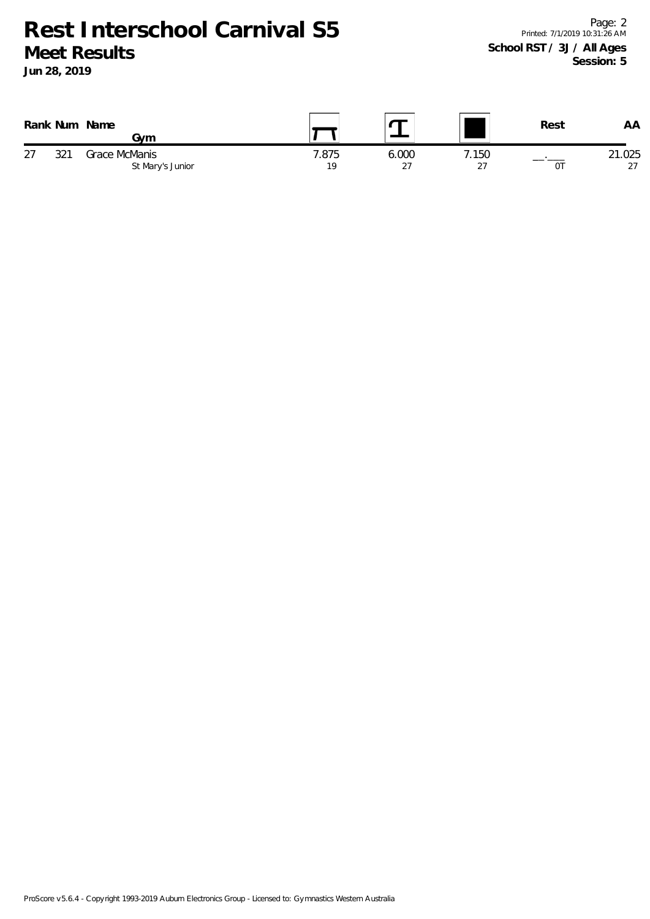**Jun 28, 2019**

|    | Rank Num | Name<br>Gvm                       |             |             |              | Rest | AA           |
|----|----------|-----------------------------------|-------------|-------------|--------------|------|--------------|
| 27 | 271      | Grace McManis<br>St Mary's Junior | '.875<br>19 | 6.000<br>27 | 7.150<br>-27 | 01   | 21.025<br>27 |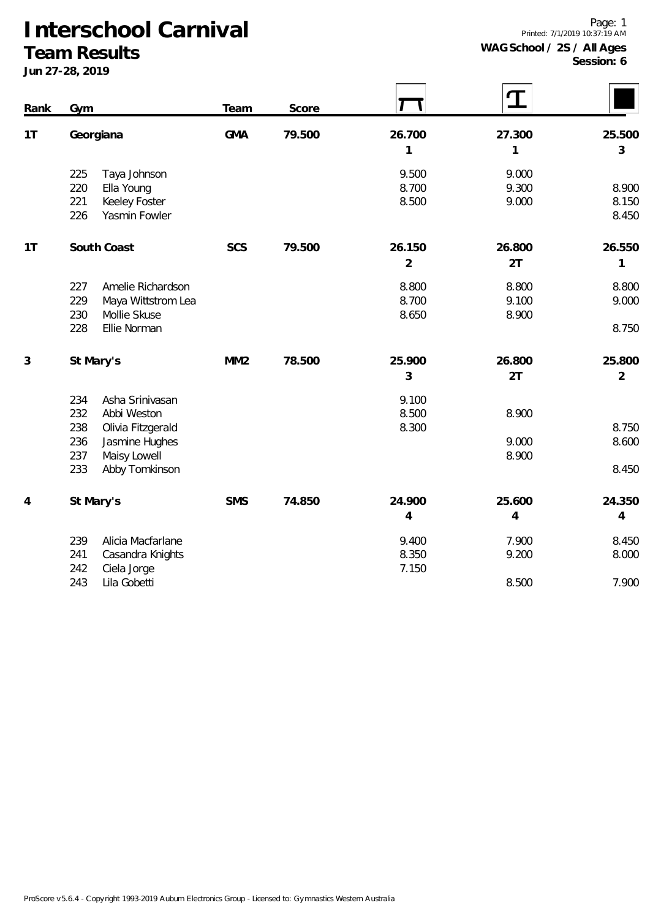#### **Team Results**

| Rank | Gym                                                                                      | Team            | Score  |                          |                          |                          |
|------|------------------------------------------------------------------------------------------|-----------------|--------|--------------------------|--------------------------|--------------------------|
| 1T   | Georgiana                                                                                | <b>GMA</b>      | 79.500 | 26.700<br>1              | 27.300<br>1              | 25.500<br>3              |
|      | 225<br>Taya Johnson<br>220<br>Ella Young<br>221<br>Keeley Foster<br>226<br>Yasmin Fowler |                 |        | 9.500<br>8.700<br>8.500  | 9.000<br>9.300<br>9.000  | 8.900<br>8.150<br>8.450  |
| 1T   | South Coast                                                                              | <b>SCS</b>      | 79.500 | 26.150<br>$\overline{2}$ | 26.800<br>2T             | 26.550<br>1              |
|      | 227<br>Amelie Richardson<br>229<br>Maya Wittstrom Lea<br>Mollie Skuse<br>230             |                 |        | 8.800<br>8.700<br>8.650  | 8.800<br>9.100<br>8.900  | 8.800<br>9.000           |
|      | 228<br>Ellie Norman                                                                      |                 |        |                          |                          | 8.750                    |
| 3    | St Mary's                                                                                | MM <sub>2</sub> | 78.500 | 25.900<br>3              | 26.800<br>2T             | 25.800<br>$\overline{2}$ |
|      | Asha Srinivasan<br>234<br>232<br>Abbi Weston                                             |                 |        | 9.100<br>8.500           | 8.900                    |                          |
|      | 238<br>Olivia Fitzgerald<br>236<br>Jasmine Hughes<br>237<br>Maisy Lowell                 |                 |        | 8.300                    | 9.000<br>8.900           | 8.750<br>8.600           |
|      | 233<br>Abby Tomkinson                                                                    |                 |        |                          |                          | 8.450                    |
| 4    | St Mary's                                                                                | <b>SMS</b>      | 74.850 | 24.900<br>4              | 25.600<br>$\overline{4}$ | 24.350<br>$\overline{4}$ |
|      | Alicia Macfarlane<br>239<br>241<br>Casandra Knights<br>242<br>Ciela Jorge                |                 |        | 9.400<br>8.350<br>7.150  | 7.900<br>9.200           | 8.450<br>8.000           |
|      | 243<br>Lila Gobetti                                                                      |                 |        |                          | 8.500                    | 7.900                    |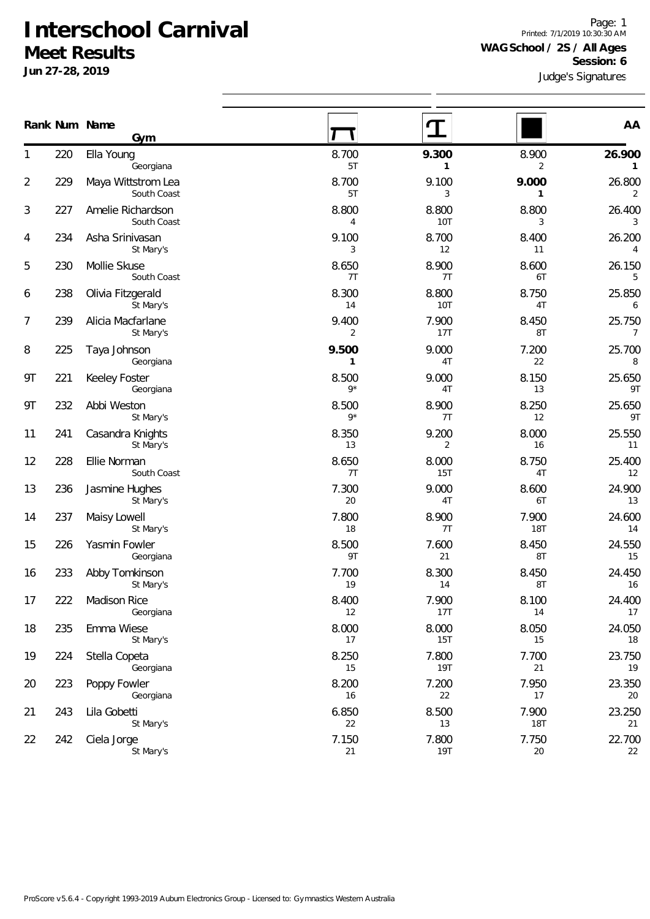**Jun 27-28, 2019**

Judge's Signatures Page: 1 Printed: 7/1/2019 10:30:30 AM **WAG School / 2S / All Ages Session: 6**

|                |     | Rank Num Name<br>Gym              |                         |                         |                     | AA                     |  |  |
|----------------|-----|-----------------------------------|-------------------------|-------------------------|---------------------|------------------------|--|--|
| 1              | 220 | Ella Young<br>Georgiana           | 8.700<br>5T             | 9.300<br>1              | 8.900<br>2          | 26.900<br>$\mathbf{1}$ |  |  |
| $\overline{2}$ | 229 | Maya Wittstrom Lea<br>South Coast | 8.700<br>5T             | 9.100<br>3              | 9.000<br>1          | 26.800<br>2            |  |  |
| 3              | 227 | Amelie Richardson<br>South Coast  | 8.800<br>$\overline{4}$ | 8.800<br><b>10T</b>     | 8.800<br>3          | 26.400<br>3            |  |  |
| 4              | 234 | Asha Srinivasan<br>St Mary's      | 9.100<br>3              | 8.700<br>12             | 8.400<br>11         | 26.200<br>4            |  |  |
| 5              | 230 | Mollie Skuse<br>South Coast       | 8.650<br>7T             | 8.900<br>7T             | 8.600<br>6T         | 26.150<br>5            |  |  |
| 6              | 238 | Olivia Fitzgerald<br>St Mary's    | 8.300<br>14             | 8.800<br><b>10T</b>     | 8.750<br>4T         | 25.850<br>6            |  |  |
| 7              | 239 | Alicia Macfarlane<br>St Mary's    | 9.400<br>$\overline{2}$ | 7.900<br>17T            | 8.450<br>8T         | 25.750<br>7            |  |  |
| 8              | 225 | Taya Johnson<br>Georgiana         | 9.500<br>1              | 9.000<br>4T             | 7.200<br>22         | 25.700<br>8            |  |  |
| 9T             | 221 | Keeley Foster<br>Georgiana        | 8.500<br>$9*$           | 9.000<br>4T             | 8.150<br>13         | 25.650<br>9T           |  |  |
| 9T             | 232 | Abbi Weston<br>St Mary's          | 8.500<br>$9*$           | 8.900<br>7T             | 8.250<br>12         | 25.650<br>9T           |  |  |
| 11             | 241 | Casandra Knights<br>St Mary's     | 8.350<br>13             | 9.200<br>$\overline{2}$ | 8.000<br>16         | 25.550<br>11           |  |  |
| 12             | 228 | Ellie Norman<br>South Coast       | 8.650<br>7T             | 8.000<br><b>15T</b>     | 8.750<br>4T         | 25.400<br>12           |  |  |
| 13             | 236 | Jasmine Hughes<br>St Mary's       | 7.300<br>20             | 9.000<br>4T             | 8.600<br>6T         | 24.900<br>13           |  |  |
| 14             | 237 | Maisy Lowell<br>St Mary's         | 7.800<br>18             | 8.900<br>7T             | 7.900<br><b>18T</b> | 24.600<br>14           |  |  |
| 15             | 226 | Yasmin Fowler<br>Georgiana        | 8.500<br>9T             | 7.600<br>21             | 8.450<br>8T         | 24.550<br>15           |  |  |
| 16             | 233 | Abby Tomkinson<br>St Mary's       | 7.700<br>19             | 8.300<br>14             | 8.450<br>8T         | 24.450<br>16           |  |  |
| 17             | 222 | Madison Rice<br>Georgiana         | 8.400<br>12             | 7.900<br><b>17T</b>     | 8.100<br>14         | 24.400<br>17           |  |  |
| 18             | 235 | Emma Wiese<br>St Mary's           | 8.000<br>17             | 8.000<br><b>15T</b>     | 8.050<br>15         | 24.050<br>18           |  |  |
| 19             | 224 | Stella Copeta<br>Georgiana        | 8.250<br>15             | 7.800<br><b>19T</b>     | 7.700<br>21         | 23.750<br>19           |  |  |
| 20             | 223 | Poppy Fowler<br>Georgiana         | 8.200<br>16             | 7.200<br>22             | 7.950<br>17         | 23.350<br>20           |  |  |
| 21             | 243 | Lila Gobetti<br>St Mary's         | 6.850<br>22             | 8.500<br>$13\,$         | 7.900<br><b>18T</b> | 23.250<br>21           |  |  |
| 22             | 242 | Ciela Jorge<br>St Mary's          | 7.150<br>21             | 7.800<br><b>19T</b>     | 7.750<br>$20\,$     | 22.700<br>22           |  |  |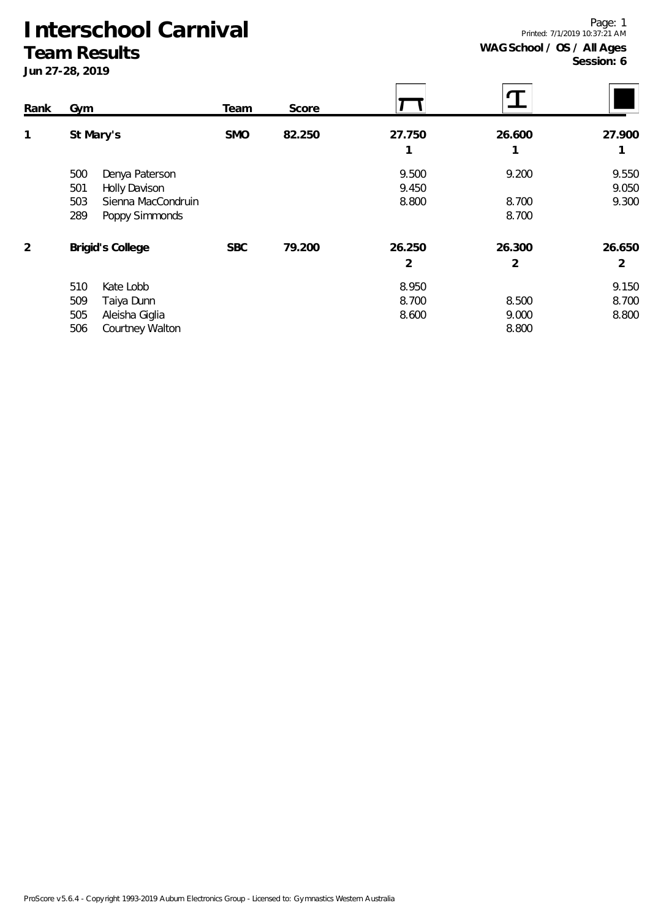**Team Results Jun 27-28, 2019**

Printed: 7/1/2019 10:37:21 AM **WAG School / OS / All Ages**

**Session: 6**

Page: 1

| Rank | Gym                         | Team       | Score  |        |        |        |
|------|-----------------------------|------------|--------|--------|--------|--------|
| 1    | St Mary's                   | <b>SMO</b> | 82.250 | 27.750 | 26.600 | 27.900 |
|      |                             |            |        | 1      |        |        |
|      | 500<br>Denya Paterson       |            |        | 9.500  | 9.200  | 9.550  |
|      | 501<br><b>Holly Davison</b> |            |        | 9.450  |        | 9.050  |
|      | 503<br>Sienna MacCondruin   |            |        | 8.800  | 8.700  | 9.300  |
|      | 289<br>Poppy Simmonds       |            |        |        | 8.700  |        |
| 2    | <b>Brigid's College</b>     | <b>SBC</b> | 79.200 | 26.250 | 26.300 | 26.650 |
|      |                             |            |        | 2      | 2      | 2      |
|      | 510<br>Kate Lobb            |            |        | 8.950  |        | 9.150  |
|      | 509<br>Taiya Dunn           |            |        | 8.700  | 8.500  | 8.700  |
|      | 505<br>Aleisha Giglia       |            |        | 8.600  | 9.000  | 8.800  |
|      | 506<br>Courtney Walton      |            |        |        | 8.800  |        |